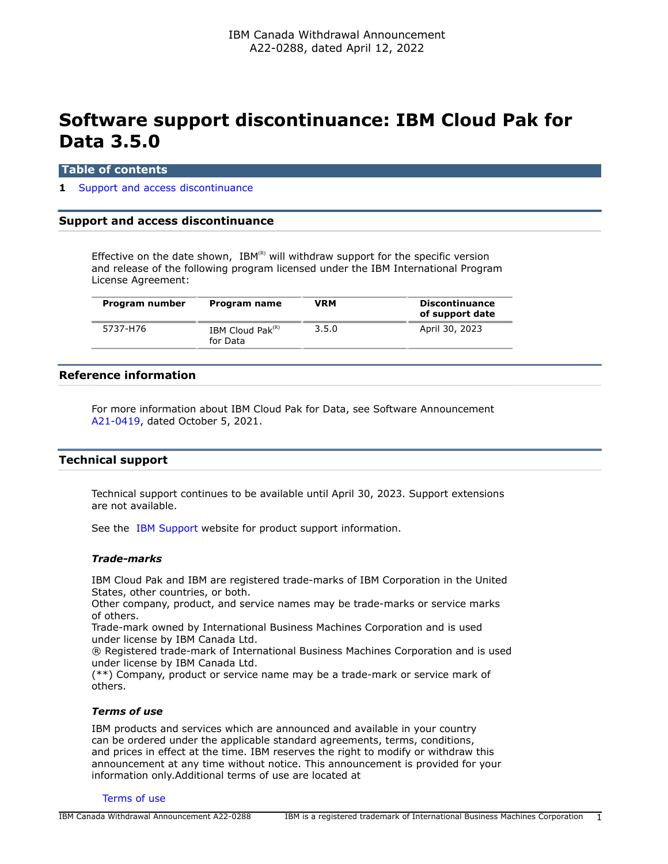# **Software support discontinuance: IBM Cloud Pak for Data 3.5.0**

### **Table of contents**

### **1** [Support and access discontinuance](#page-0-0)

## <span id="page-0-0"></span>**Support and access discontinuance**

Effective on the date shown, IBM(R) will withdraw support for the specific version and release of the following program licensed under the IBM International Program License Agreement:

| Program number | Program name                       | VRM   | <b>Discontinuance</b><br>of support date |
|----------------|------------------------------------|-------|------------------------------------------|
| 5737-H76       | IBM Cloud Pa $k^{(R)}$<br>for Data | 3.5.0 | April 30, 2023                           |

## **Reference information**

For more information about IBM Cloud Pak for Data, see Software Announcement [A21-0419,](http://www.ibm.com/common/ssi/cgi-bin/ssialias?infotype=an&subtype=ca&appname=gpateam&supplier=649&letternum=ENUSA21-0419) dated October 5, 2021.

## **Technical support**

Technical support continues to be available until April 30, 2023. Support extensions are not available.

See the [IBM Support](https://www.ibm.com/support) website for product support information.

#### *Trade-marks*

IBM Cloud Pak and IBM are registered trade-marks of IBM Corporation in the United States, other countries, or both.

Other company, product, and service names may be trade-marks or service marks of others.

Trade-mark owned by International Business Machines Corporation and is used under license by IBM Canada Ltd.

® Registered trade-mark of International Business Machines Corporation and is used under license by IBM Canada Ltd.

(\*\*) Company, product or service name may be a trade-mark or service mark of others.

## *Terms of use*

IBM products and services which are announced and available in your country can be ordered under the applicable standard agreements, terms, conditions, and prices in effect at the time. IBM reserves the right to modify or withdraw this announcement at any time without notice. This announcement is provided for your information only.Additional terms of use are located at

#### [Terms of use](http://www.ibm.com/legal/us/en/)